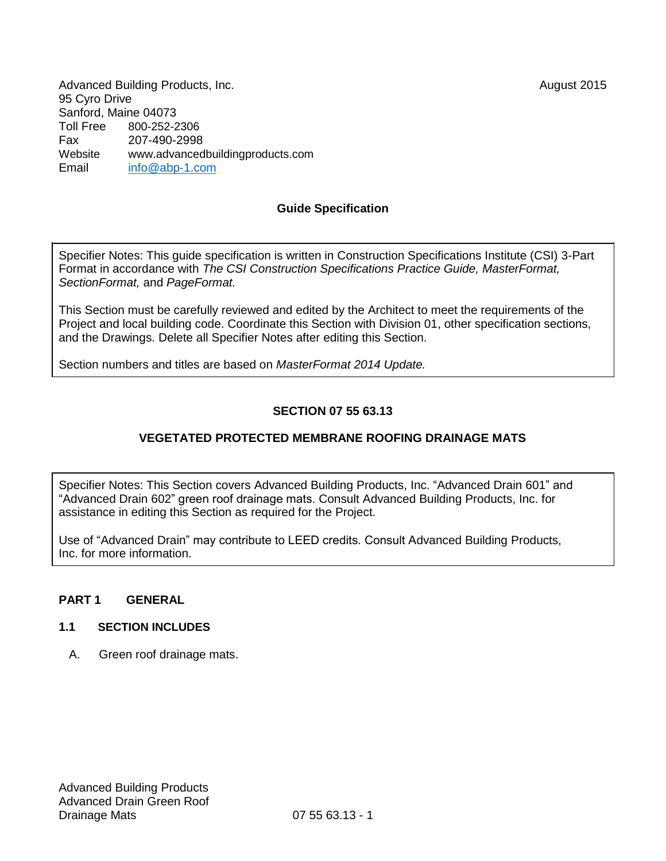August 2015

Advanced Building Products, Inc. 95 Cyro Drive Sanford, Maine 04073<br>Toll Free 800-252-2 Toll Free 800-252-2306 Fax 207-490-2998 Website [www.advancedbuildingproducts.com](http://www.advancedbuildingproducts.com/) Email [info@abp-1.com](mailto:info@abp-1.com)

# **Guide Specification**

Specifier Notes: This guide specification is written in Construction Specifications Institute (CSI) 3-Part Format in accordance with *The CSI Construction Specifications Practice Guide, MasterFormat, SectionFormat,* and *PageFormat.*

This Section must be carefully reviewed and edited by the Architect to meet the requirements of the Project and local building code. Coordinate this Section with Division 01, other specification sections, and the Drawings. Delete all Specifier Notes after editing this Section.

Section numbers and titles are based on *MasterFormat 2014 Update.*

# **SECTION 07 55 63.13**

## **VEGETATED PROTECTED MEMBRANE ROOFING DRAINAGE MATS**

Specifier Notes: This Section covers Advanced Building Products, Inc. "Advanced Drain 601" and "Advanced Drain 602" green roof drainage mats. Consult Advanced Building Products, Inc. for assistance in editing this Section as required for the Project.

Use of "Advanced Drain" may contribute to LEED credits. Consult Advanced Building Products, Inc. for more information.

#### **PART 1 GENERAL**

#### **1.1 SECTION INCLUDES**

A. Green roof drainage mats.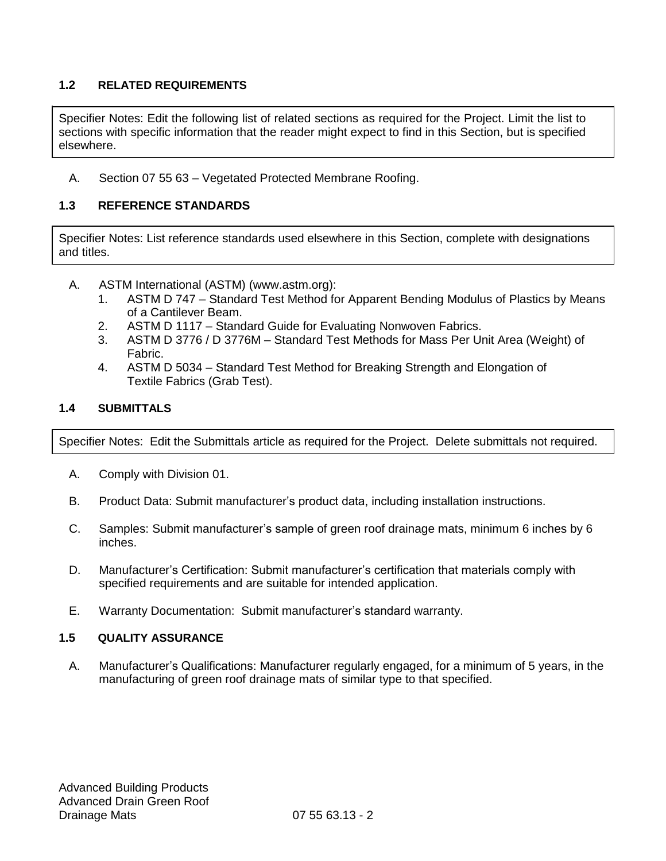# **1.2 RELATED REQUIREMENTS**

Specifier Notes: Edit the following list of related sections as required for the Project. Limit the list to sections with specific information that the reader might expect to find in this Section, but is specified elsewhere.

A. Section 07 55 63 – Vegetated Protected Membrane Roofing.

# **1.3 REFERENCE STANDARDS**

Specifier Notes: List reference standards used elsewhere in this Section, complete with designations and titles.

- A. ASTM International (ASTM) [\(www.astm.org\):](http://www.astm.org/)
	- 1. ASTM D 747 Standard Test Method for Apparent Bending Modulus of Plastics by Means of a Cantilever Beam.
	- 2. ASTM D 1117 Standard Guide for Evaluating Nonwoven Fabrics.
	- 3. ASTM D 3776 / D 3776M Standard Test Methods for Mass Per Unit Area (Weight) of Fabric.
	- 4. ASTM D 5034 Standard Test Method for Breaking Strength and Elongation of Textile Fabrics (Grab Test).

#### **1.4 SUBMITTALS**

Specifier Notes: Edit the Submittals article as required for the Project. Delete submittals not required.

- A. Comply with Division 01.
- B. Product Data: Submit manufacturer's product data, including installation instructions.
- C. Samples: Submit manufacturer's sample of green roof drainage mats, minimum 6 inches by 6 inches.
- D. Manufacturer's Certification: Submit manufacturer's certification that materials comply with specified requirements and are suitable for intended application.
- E. Warranty Documentation: Submit manufacturer's standard warranty.

## **1.5 QUALITY ASSURANCE**

A. Manufacturer's Qualifications: Manufacturer regularly engaged, for a minimum of 5 years, in the manufacturing of green roof drainage mats of similar type to that specified.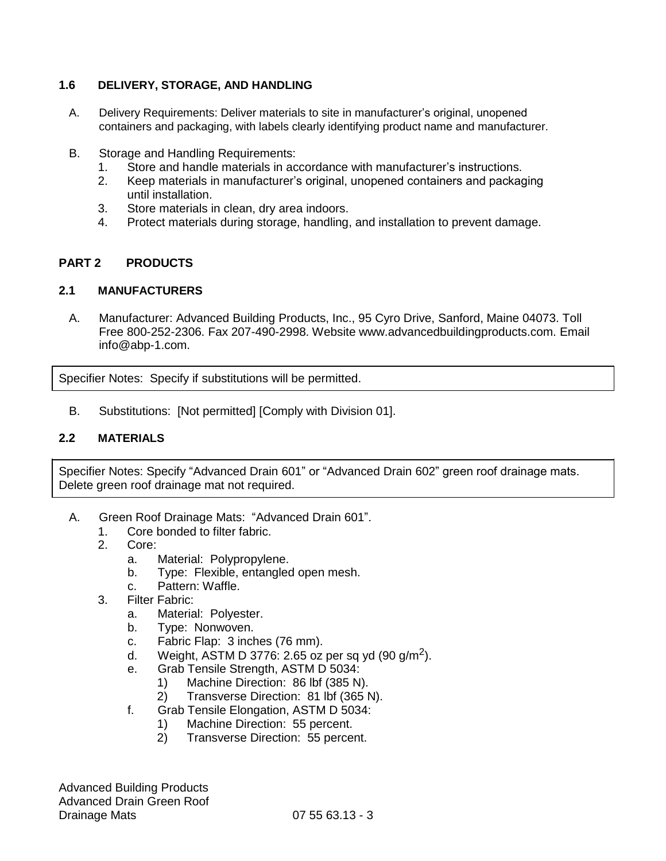## **1.6 DELIVERY, STORAGE, AND HANDLING**

- A. Delivery Requirements: Deliver materials to site in manufacturer's original, unopened containers and packaging, with labels clearly identifying product name and manufacturer.
- B. Storage and Handling Requirements:
	- 1. Store and handle materials in accordance with manufacturer's instructions.
	- 2. Keep materials in manufacturer's original, unopened containers and packaging until installation.
	- 3. Store materials in clean, dry area indoors.
	- 4. Protect materials during storage, handling, and installation to prevent damage.

## **PART 2 PRODUCTS**

#### **2.1 MANUFACTURERS**

A. Manufacturer: Advanced Building Products, Inc., 95 Cyro Drive, Sanford, Maine 04073. Toll Free 800-252-2306. Fax 207-490-2998. Website [www.advancedbuildingproducts.com. E](http://www.advancedbuildingproducts.com/)mail info@abp-1.com.

Specifier Notes: Specify if substitutions will be permitted.

B. Substitutions: [Not permitted] [Comply with Division 01].

#### **2.2 MATERIALS**

Specifier Notes: Specify "Advanced Drain 601" or "Advanced Drain 602" green roof drainage mats. Delete green roof drainage mat not required.

- A. Green Roof Drainage Mats: "Advanced Drain 601".
	- 1. Core bonded to filter fabric.
	- 2. Core:
		- a. Material: Polypropylene.
		- b. Type: Flexible, entangled open mesh.
		- c. Pattern: Waffle.
	- 3. Filter Fabric:
		- a. Material: Polyester.
		- b. Type: Nonwoven.
		- c. Fabric Flap: 3 inches (76 mm).
		- d. Weight, ASTM D 3776: 2.65 oz per sq yd (90 g/m<sup>2</sup>).
		- e. Grab Tensile Strength, ASTM D 5034:
			- 1) Machine Direction: 86 lbf (385 N).
			- 2) Transverse Direction: 81 lbf (365 N).
		- f. Grab Tensile Elongation, ASTM D 5034:
			- 1) Machine Direction: 55 percent.
			- 2) Transverse Direction: 55 percent.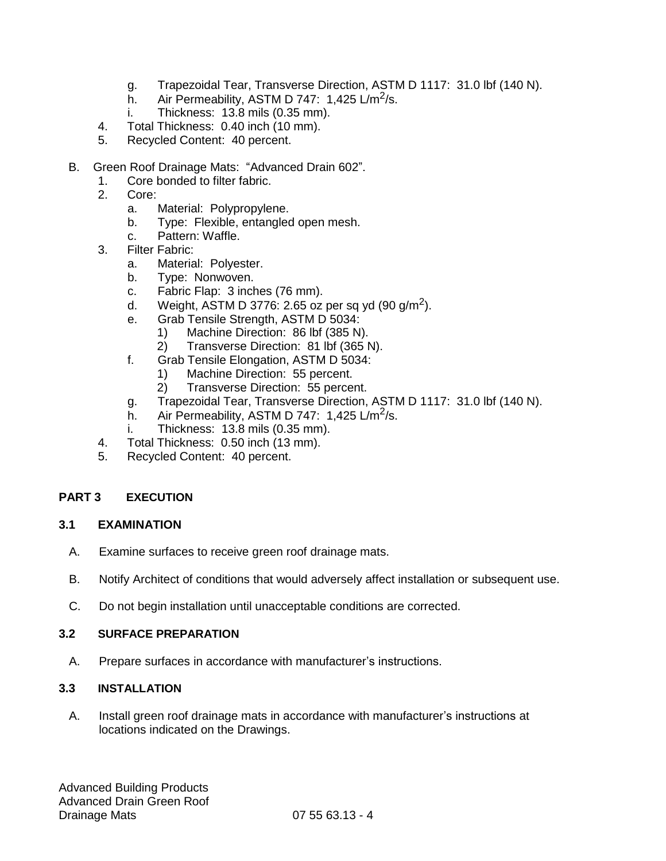- g. Trapezoidal Tear, Transverse Direction, ASTM D 1117: 31.0 lbf (140 N).
- h. Air Permeability, ASTM D 747:  $1,425 \text{ L/m}^2\text{/s}.$
- i. Thickness: 13.8 mils (0.35 mm).
- 4. Total Thickness: 0.40 inch (10 mm).
- 5. Recycled Content: 40 percent.
- B. Green Roof Drainage Mats: "Advanced Drain 602".
	- 1. Core bonded to filter fabric.
	- 2. Core:
		- a. Material: Polypropylene.
		- b. Type: Flexible, entangled open mesh.
		- c. Pattern: Waffle.
	- 3. Filter Fabric:
		- a. Material: Polyester.
		- b. Type: Nonwoven.
		- c. Fabric Flap: 3 inches (76 mm).
		- d. Weight, ASTM D 3776: 2.65 oz per sq yd (90 g/m<sup>2</sup>).
		- e. Grab Tensile Strength, ASTM D 5034:
			- 1) Machine Direction: 86 lbf (385 N).
			- 2) Transverse Direction: 81 lbf (365 N).
		- f. Grab Tensile Elongation, ASTM D 5034:
			- 1) Machine Direction: 55 percent.
			- 2) Transverse Direction: 55 percent.
		- g. Trapezoidal Tear, Transverse Direction, ASTM D 1117: 31.0 lbf (140 N).
		- h. Air Permeability, ASTM D 747:  $1,425 \text{ L/m}^2\text{/s}.$
		- i. Thickness: 13.8 mils (0.35 mm).
	- 4. Total Thickness: 0.50 inch (13 mm).
	- 5. Recycled Content: 40 percent.

## **PART 3 EXECUTION**

## **3.1 EXAMINATION**

- A. Examine surfaces to receive green roof drainage mats.
- B. Notify Architect of conditions that would adversely affect installation or subsequent use.
- C. Do not begin installation until unacceptable conditions are corrected.

## **3.2 SURFACE PREPARATION**

A. Prepare surfaces in accordance with manufacturer's instructions.

# **3.3 INSTALLATION**

A. Install green roof drainage mats in accordance with manufacturer's instructions at locations indicated on the Drawings.